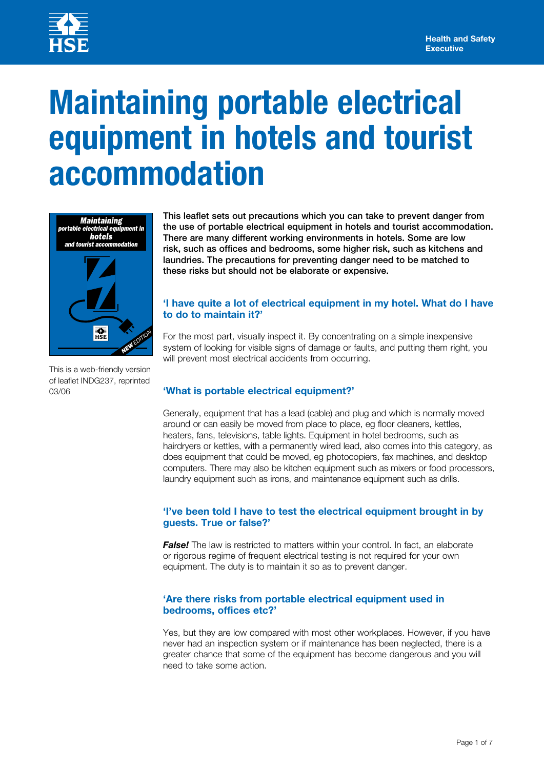

# **Maintaining portable electrical equipment in hotels and tourist accommodation**



This leaflet sets out precautions which you can take to prevent danger from the use of portable electrical equipment in hotels and tourist accommodation. There are many different working environments in hotels. Some are low risk, such as offices and bedrooms, some higher risk, such as kitchens and laundries. The precautions for preventing danger need to be matched to these risks but should not be elaborate or expensive.

## **'I have quite a lot of electrical equipment in my hotel. What do I have to do to maintain it?'**

For the most part, visually inspect it. By concentrating on a simple inexpensive system of looking for visible signs of damage or faults, and putting them right, you will prevent most electrical accidents from occurring.

This is a web-friendly version of leaflet INDG237, reprinted 03/06

# **'What is portable electrical equipment?'**

Generally, equipment that has a lead (cable) and plug and which is normally moved around or can easily be moved from place to place, eg floor cleaners, kettles, heaters, fans, televisions, table lights. Equipment in hotel bedrooms, such as hairdryers or kettles, with a permanently wired lead, also comes into this category, as does equipment that could be moved, eg photocopiers, fax machines, and desktop computers. There may also be kitchen equipment such as mixers or food processors, laundry equipment such as irons, and maintenance equipment such as drills.

## **'I've been told I have to test the electrical equipment brought in by guests. True or false?'**

**False!** The law is restricted to matters within your control. In fact, an elaborate or rigorous regime of frequent electrical testing is not required for your own equipment. The duty is to maintain it so as to prevent danger.

## **'Are there risks from portable electrical equipment used in bedrooms, offices etc?'**

Yes, but they are low compared with most other workplaces. However, if you have never had an inspection system or if maintenance has been neglected, there is a greater chance that some of the equipment has become dangerous and you will need to take some action.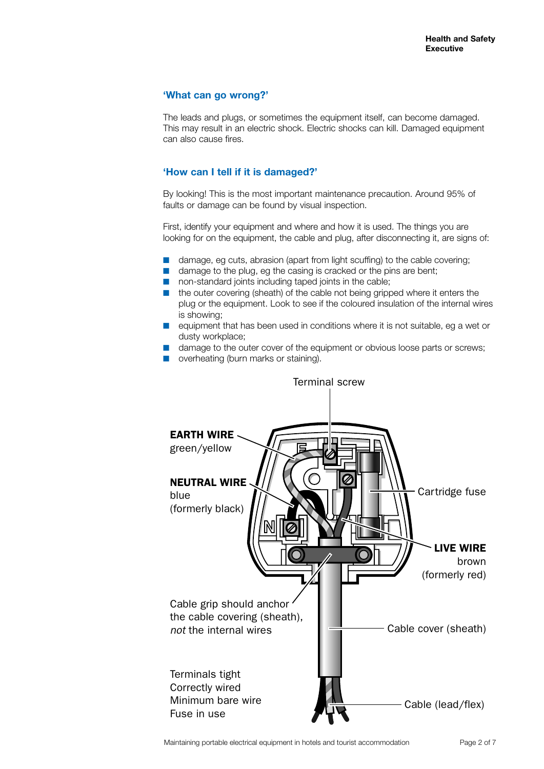## **'What can go wrong?'**

The leads and plugs, or sometimes the equipment itself, can become damaged. This may result in an electric shock. Electric shocks can kill. Damaged equipment can also cause fires.

## **'How can I tell if it is damaged?'**

By looking! This is the most important maintenance precaution. Around 95% of faults or damage can be found by visual inspection.

First, identify your equipment and where and how it is used. The things you are looking for on the equipment, the cable and plug, after disconnecting it, are signs of:

- damage, eg cuts, abrasion (apart from light scuffing) to the cable covering;
- damage to the plug, eg the casing is cracked or the pins are bent;
- non-standard joints including taped joints in the cable;
- the outer covering (sheath) of the cable not being gripped where it enters the plug or the equipment. Look to see if the coloured insulation of the internal wires is showing;
- equipment that has been used in conditions where it is not suitable, eg a wet or dusty workplace;
- damage to the outer cover of the equipment or obvious loose parts or screws;
- overheating (burn marks or staining).

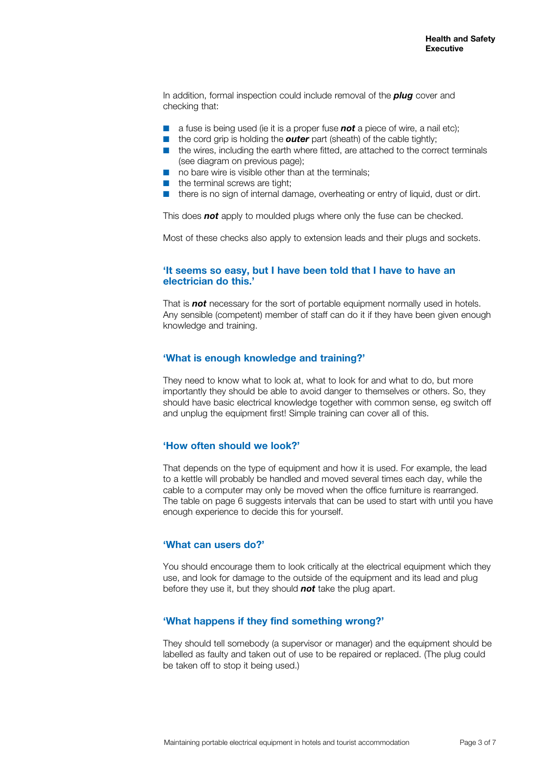In addition, formal inspection could include removal of the *plug* cover and checking that:

- a fuse is being used (ie it is a proper fuse **not** a piece of wire, a nail etc);
- the cord grip is holding the **outer** part (sheath) of the cable tightly;
- the wires, including the earth where fitted, are attached to the correct terminals (see diagram on previous page);
- no bare wire is visible other than at the terminals;
- the terminal screws are tight;
- there is no sign of internal damage, overheating or entry of liquid, dust or dirt.

This does *not* apply to moulded plugs where only the fuse can be checked.

Most of these checks also apply to extension leads and their plugs and sockets.

#### **'It seems so easy, but I have been told that I have to have an electrician do this.'**

That is *not* necessary for the sort of portable equipment normally used in hotels. Any sensible (competent) member of staff can do it if they have been given enough knowledge and training.

#### **'What is enough knowledge and training?'**

They need to know what to look at, what to look for and what to do, but more importantly they should be able to avoid danger to themselves or others. So, they should have basic electrical knowledge together with common sense, eg switch off and unplug the equipment first! Simple training can cover all of this.

## **'How often should we look?'**

That depends on the type of equipment and how it is used. For example, the lead to a kettle will probably be handled and moved several times each day, while the cable to a computer may only be moved when the office furniture is rearranged. The table on page 6 suggests intervals that can be used to start with until you have enough experience to decide this for yourself.

#### **'What can users do?'**

You should encourage them to look critically at the electrical equipment which they use, and look for damage to the outside of the equipment and its lead and plug before they use it, but they should *not* take the plug apart.

## **'What happens if they find something wrong?'**

They should tell somebody (a supervisor or manager) and the equipment should be labelled as faulty and taken out of use to be repaired or replaced. (The plug could be taken off to stop it being used.)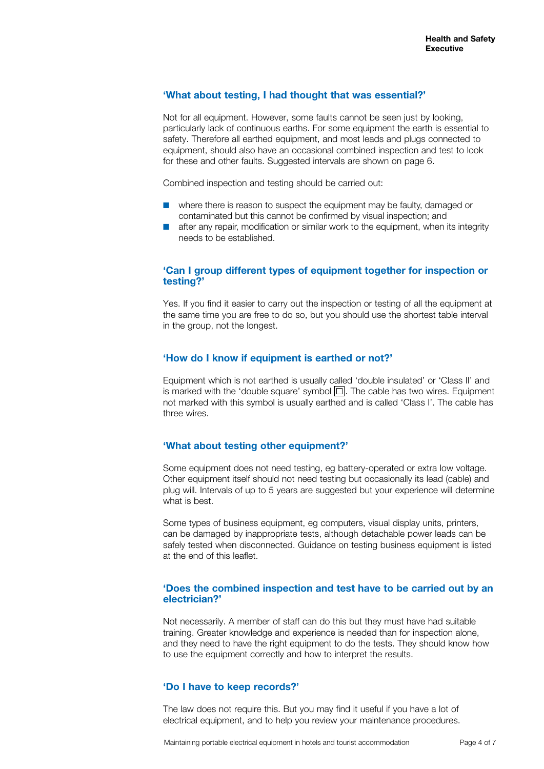#### **'What about testing, I had thought that was essential?'**

Not for all equipment. However, some faults cannot be seen just by looking, particularly lack of continuous earths. For some equipment the earth is essential to safety. Therefore all earthed equipment, and most leads and plugs connected to equipment, should also have an occasional combined inspection and test to look for these and other faults. Suggested intervals are shown on page 6.

Combined inspection and testing should be carried out:

- where there is reason to suspect the equipment may be faulty, damaged or contaminated but this cannot be confirmed by visual inspection; and
- after any repair, modification or similar work to the equipment, when its integrity needs to be established.

## **'Can I group different types of equipment together for inspection or testing?'**

Yes. If you find it easier to carry out the inspection or testing of all the equipment at the same time you are free to do so, but you should use the shortest table interval in the group, not the longest.

#### **'How do I know if equipment is earthed or not?'**

Equipment which is not earthed is usually called 'double insulated' or 'Class II' and is marked with the 'double square' symbol  $\Box$ . The cable has two wires. Equipment not marked with this symbol is usually earthed and is called 'Class I'. The cable has three wires.

## **'What about testing other equipment?'**

Some equipment does not need testing, eg battery-operated or extra low voltage. Other equipment itself should not need testing but occasionally its lead (cable) and plug will. Intervals of up to 5 years are suggested but your experience will determine what is best.

Some types of business equipment, eg computers, visual display units, printers, can be damaged by inappropriate tests, although detachable power leads can be safely tested when disconnected. Guidance on testing business equipment is listed at the end of this leaflet.

#### **'Does the combined inspection and test have to be carried out by an electrician?'**

Not necessarily. A member of staff can do this but they must have had suitable training. Greater knowledge and experience is needed than for inspection alone, and they need to have the right equipment to do the tests. They should know how to use the equipment correctly and how to interpret the results.

## **'Do I have to keep records?'**

The law does not require this. But you may find it useful if you have a lot of electrical equipment, and to help you review your maintenance procedures.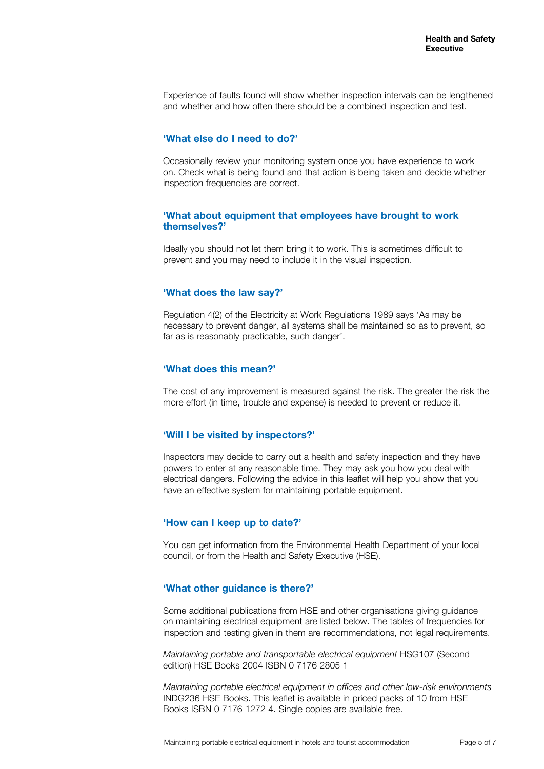Experience of faults found will show whether inspection intervals can be lengthened and whether and how often there should be a combined inspection and test.

#### **'What else do I need to do?'**

Occasionally review your monitoring system once you have experience to work on. Check what is being found and that action is being taken and decide whether inspection frequencies are correct.

#### **'What about equipment that employees have brought to work themselves?'**

Ideally you should not let them bring it to work. This is sometimes difficult to prevent and you may need to include it in the visual inspection.

#### **'What does the law say?'**

Regulation 4(2) of the Electricity at Work Regulations 1989 says 'As may be necessary to prevent danger, all systems shall be maintained so as to prevent, so far as is reasonably practicable, such danger'.

#### **'What does this mean?'**

The cost of any improvement is measured against the risk. The greater the risk the more effort (in time, trouble and expense) is needed to prevent or reduce it.

#### **'Will I be visited by inspectors?'**

Inspectors may decide to carry out a health and safety inspection and they have powers to enter at any reasonable time. They may ask you how you deal with electrical dangers. Following the advice in this leaflet will help you show that you have an effective system for maintaining portable equipment.

#### **'How can I keep up to date?'**

You can get information from the Environmental Health Department of your local council, or from the Health and Safety Executive (HSE).

#### **'What other guidance is there?'**

Some additional publications from HSE and other organisations giving guidance on maintaining electrical equipment are listed below. The tables of frequencies for inspection and testing given in them are recommendations, not legal requirements.

*Maintaining portable and transportable electrical equipment* HSG107 (Second edition) HSE Books 2004 ISBN 0 7176 2805 1

*Maintaining portable electrical equipment in offices and other low-risk environments*  INDG236 HSE Books. This leaflet is available in priced packs of 10 from HSE Books ISBN 0 7176 1272 4. Single copies are available free.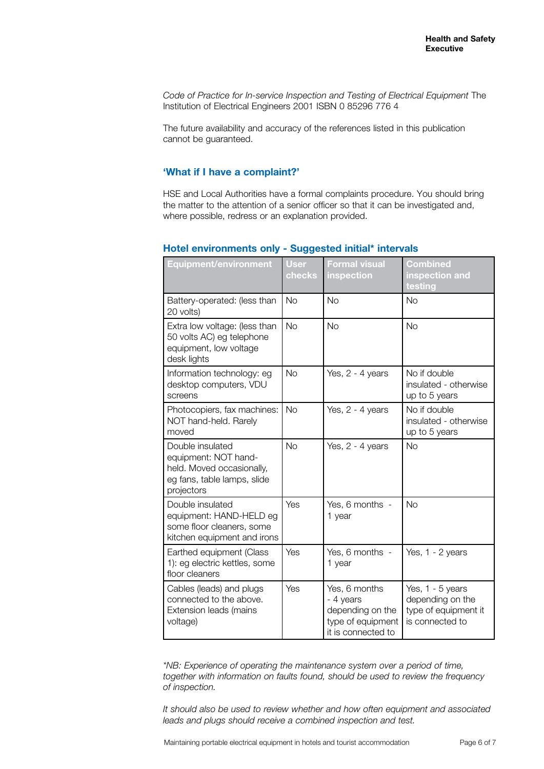Code of Practice for In-service Inspection and Testing of Electrical Equipment The Institution of Electrical Engineers 2001 ISBN 0 85296 776 4

The future availability and accuracy of the references listed in this publication cannot be guaranteed.

## **'What if I have a complaint?'**

HSE and Local Authorities have a formal complaints procedure. You should bring the matter to the attention of a senior officer so that it can be investigated and, where possible, redress or an explanation provided.

| <b>Equipment/environment</b>                                                                                       | <b>User</b><br>checks | <b>Formal visual</b><br>inspection                                                        | <b>Combined</b><br>inspection and<br>testing                                    |
|--------------------------------------------------------------------------------------------------------------------|-----------------------|-------------------------------------------------------------------------------------------|---------------------------------------------------------------------------------|
| Battery-operated: (less than<br>20 volts)                                                                          | <b>No</b>             | <b>No</b>                                                                                 | <b>No</b>                                                                       |
| Extra low voltage: (less than<br>50 volts AC) eg telephone<br>equipment, low voltage<br>desk lights                | <b>No</b>             | <b>No</b>                                                                                 | <b>No</b>                                                                       |
| Information technology: eg<br>desktop computers, VDU<br>screens                                                    | <b>No</b>             | Yes, 2 - 4 years                                                                          | No if double<br>insulated - otherwise<br>up to 5 years                          |
| Photocopiers, fax machines:<br>NOT hand-held. Rarely<br>moved                                                      | <b>No</b>             | Yes, 2 - 4 years                                                                          | No if double<br>insulated - otherwise<br>up to 5 years                          |
| Double insulated<br>equipment: NOT hand-<br>held. Moved occasionally,<br>eg fans, table lamps, slide<br>projectors | <b>No</b>             | Yes, 2 - 4 years                                                                          | <b>No</b>                                                                       |
| Double insulated<br>equipment: HAND-HELD eg<br>some floor cleaners, some<br>kitchen equipment and irons            | Yes                   | Yes, 6 months -<br>1 year                                                                 | <b>No</b>                                                                       |
| Earthed equipment (Class<br>1): eg electric kettles, some<br>floor cleaners                                        | Yes                   | Yes, 6 months -<br>1 year                                                                 | Yes, 1 - 2 years                                                                |
| Cables (leads) and plugs<br>connected to the above.<br>Extension leads (mains<br>voltage)                          | Yes                   | Yes, 6 months<br>- 4 years<br>depending on the<br>type of equipment<br>it is connected to | Yes, 1 - 5 years<br>depending on the<br>type of equipment it<br>is connected to |

## **Hotel environments only - Suggested initial\* intervals**

*\*NB: Experience of operating the maintenance system over a period of time, together with information on faults found, should be used to review the frequency of inspection.*

*It should also be used to review whether and how often equipment and associated leads and plugs should receive a combined inspection and test.*